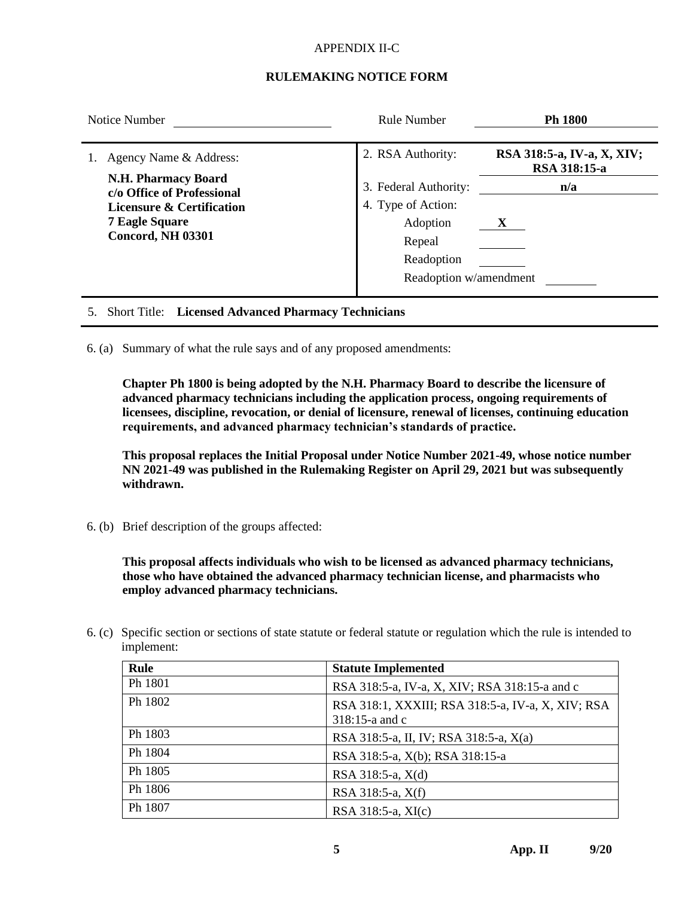#### APPENDIX II-C

### **RULEMAKING NOTICE FORM**

| Notice Number                                                                                                                                                                   | Rule Number                                                                                                                    | Ph 1800                                                |  |
|---------------------------------------------------------------------------------------------------------------------------------------------------------------------------------|--------------------------------------------------------------------------------------------------------------------------------|--------------------------------------------------------|--|
| Agency Name & Address:<br><b>N.H. Pharmacy Board</b><br>c/o Office of Professional<br><b>Licensure &amp; Certification</b><br><b>7 Eagle Square</b><br><b>Concord, NH 03301</b> | 2. RSA Authority:<br>3. Federal Authority:<br>4. Type of Action:<br>Adoption<br>Repeal<br>Readoption<br>Readoption w/amendment | RSA 318:5-a, IV-a, X, XIV;<br>RSA 318:15-a<br>n/a<br>X |  |
|                                                                                                                                                                                 |                                                                                                                                |                                                        |  |

### 5. Short Title: **Licensed Advanced Pharmacy Technicians**

6. (a) Summary of what the rule says and of any proposed amendments:

**Chapter Ph 1800 is being adopted by the N.H. Pharmacy Board to describe the licensure of advanced pharmacy technicians including the application process, ongoing requirements of licensees, discipline, revocation, or denial of licensure, renewal of licenses, continuing education requirements, and advanced pharmacy technician's standards of practice.**

**This proposal replaces the Initial Proposal under Notice Number 2021-49, whose notice number NN 2021-49 was published in the Rulemaking Register on April 29, 2021 but was subsequently withdrawn.**

6. (b) Brief description of the groups affected:

**This proposal affects individuals who wish to be licensed as advanced pharmacy technicians, those who have obtained the advanced pharmacy technician license, and pharmacists who employ advanced pharmacy technicians.**

6. (c) Specific section or sections of state statute or federal statute or regulation which the rule is intended to implement:

| Rule    | <b>Statute Implemented</b>                                             |
|---------|------------------------------------------------------------------------|
| Ph 1801 | RSA 318:5-a, IV-a, X, XIV; RSA 318:15-a and c                          |
| Ph 1802 | RSA 318:1, XXXIII; RSA 318:5-a, IV-a, X, XIV; RSA<br>$318:15$ -a and c |
| Ph 1803 | RSA 318:5-a, II, IV; RSA 318:5-a, X(a)                                 |
| Ph 1804 | RSA 318:5-a, X(b); RSA 318:15-a                                        |
| Ph 1805 | RSA 318:5-a, X(d)                                                      |
| Ph 1806 | RSA 318:5-a, X(f)                                                      |
| Ph 1807 | RSA 318:5-a, XI(c)                                                     |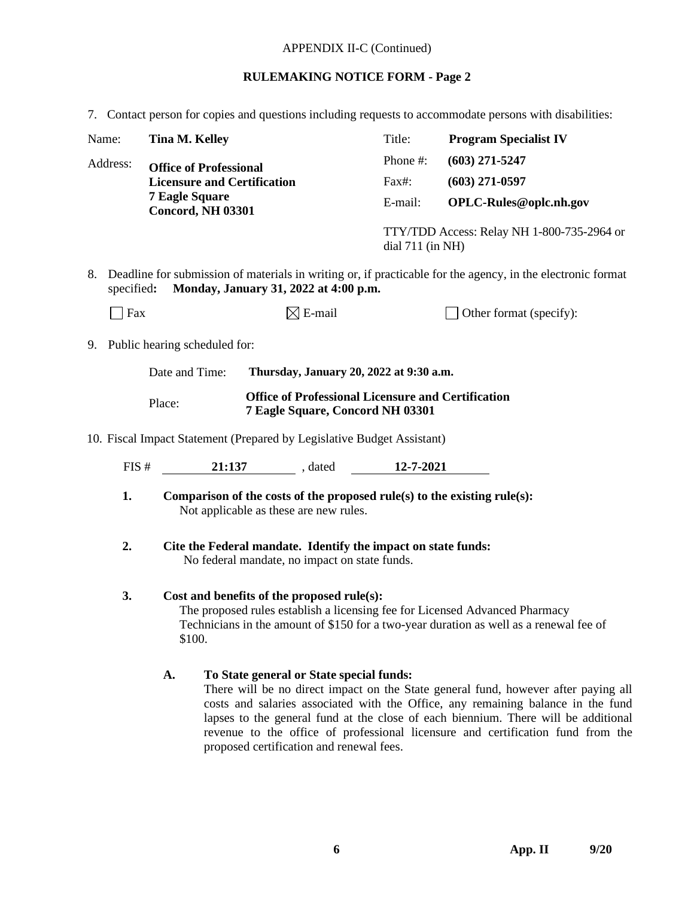## APPENDIX II-C (Continued)

# **RULEMAKING NOTICE FORM - Page 2**

7. Contact person for copies and questions including requests to accommodate persons with disabilities:

| Name:                                                                                                                                |                                                                                                                                                                    | <b>Tina M. Kelley</b>                                                                                                                                                                                                         |                                                                                                                |                                                                                      |  | Title:                  | <b>Program Specialist IV</b>                                                                                                                                                                                                                                                                                                                    |  |  |
|--------------------------------------------------------------------------------------------------------------------------------------|--------------------------------------------------------------------------------------------------------------------------------------------------------------------|-------------------------------------------------------------------------------------------------------------------------------------------------------------------------------------------------------------------------------|----------------------------------------------------------------------------------------------------------------|--------------------------------------------------------------------------------------|--|-------------------------|-------------------------------------------------------------------------------------------------------------------------------------------------------------------------------------------------------------------------------------------------------------------------------------------------------------------------------------------------|--|--|
| Address:<br><b>Office of Professional</b><br><b>Licensure and Certification</b><br><b>7 Eagle Square</b><br><b>Concord, NH 03301</b> |                                                                                                                                                                    |                                                                                                                                                                                                                               | Phone #:                                                                                                       | $(603)$ 271-5247                                                                     |  |                         |                                                                                                                                                                                                                                                                                                                                                 |  |  |
|                                                                                                                                      |                                                                                                                                                                    |                                                                                                                                                                                                                               | Fax#:                                                                                                          | $(603)$ 271-0597                                                                     |  |                         |                                                                                                                                                                                                                                                                                                                                                 |  |  |
|                                                                                                                                      |                                                                                                                                                                    |                                                                                                                                                                                                                               | E-mail:                                                                                                        | OPLC-Rules@oplc.nh.gov                                                               |  |                         |                                                                                                                                                                                                                                                                                                                                                 |  |  |
|                                                                                                                                      |                                                                                                                                                                    |                                                                                                                                                                                                                               |                                                                                                                |                                                                                      |  | dial $711$ (in NH)      | TTY/TDD Access: Relay NH 1-800-735-2964 or                                                                                                                                                                                                                                                                                                      |  |  |
| 8.                                                                                                                                   | Deadline for submission of materials in writing or, if practicable for the agency, in the electronic format<br>Monday, January 31, 2022 at 4:00 p.m.<br>specified: |                                                                                                                                                                                                                               |                                                                                                                |                                                                                      |  |                         |                                                                                                                                                                                                                                                                                                                                                 |  |  |
|                                                                                                                                      | Fax                                                                                                                                                                |                                                                                                                                                                                                                               | $\boxtimes$ E-mail                                                                                             |                                                                                      |  | Other format (specify): |                                                                                                                                                                                                                                                                                                                                                 |  |  |
|                                                                                                                                      | 9. Public hearing scheduled for:                                                                                                                                   |                                                                                                                                                                                                                               |                                                                                                                |                                                                                      |  |                         |                                                                                                                                                                                                                                                                                                                                                 |  |  |
|                                                                                                                                      |                                                                                                                                                                    | Date and Time:                                                                                                                                                                                                                |                                                                                                                | Thursday, January 20, 2022 at 9:30 a.m.                                              |  |                         |                                                                                                                                                                                                                                                                                                                                                 |  |  |
|                                                                                                                                      | <b>Office of Professional Licensure and Certification</b><br>Place:<br>7 Eagle Square, Concord NH 03301                                                            |                                                                                                                                                                                                                               |                                                                                                                |                                                                                      |  |                         |                                                                                                                                                                                                                                                                                                                                                 |  |  |
|                                                                                                                                      |                                                                                                                                                                    |                                                                                                                                                                                                                               |                                                                                                                | 10. Fiscal Impact Statement (Prepared by Legislative Budget Assistant)               |  |                         |                                                                                                                                                                                                                                                                                                                                                 |  |  |
|                                                                                                                                      | FIS#                                                                                                                                                               |                                                                                                                                                                                                                               |                                                                                                                | 21:137 , dated 12-7-2021                                                             |  |                         |                                                                                                                                                                                                                                                                                                                                                 |  |  |
|                                                                                                                                      | 1.                                                                                                                                                                 | Comparison of the costs of the proposed rule(s) to the existing rule(s):<br>Not applicable as these are new rules.                                                                                                            |                                                                                                                |                                                                                      |  |                         |                                                                                                                                                                                                                                                                                                                                                 |  |  |
|                                                                                                                                      | 2.                                                                                                                                                                 |                                                                                                                                                                                                                               | Cite the Federal mandate. Identify the impact on state funds:<br>No federal mandate, no impact on state funds. |                                                                                      |  |                         |                                                                                                                                                                                                                                                                                                                                                 |  |  |
|                                                                                                                                      | 3.                                                                                                                                                                 | Cost and benefits of the proposed rule(s):<br>The proposed rules establish a licensing fee for Licensed Advanced Pharmacy<br>Technicians in the amount of \$150 for a two-year duration as well as a renewal fee of<br>\$100. |                                                                                                                |                                                                                      |  |                         |                                                                                                                                                                                                                                                                                                                                                 |  |  |
|                                                                                                                                      |                                                                                                                                                                    | A.                                                                                                                                                                                                                            |                                                                                                                | To State general or State special funds:<br>proposed certification and renewal fees. |  |                         | There will be no direct impact on the State general fund, however after paying all<br>costs and salaries associated with the Office, any remaining balance in the fund<br>lapses to the general fund at the close of each biennium. There will be additional<br>revenue to the office of professional licensure and certification fund from the |  |  |